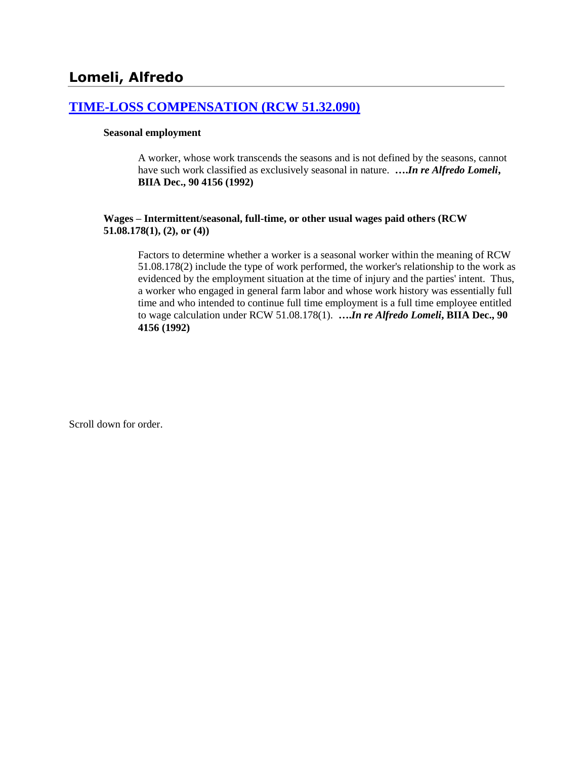# **[TIME-LOSS COMPENSATION \(RCW 51.32.090\)](http://www.biia.wa.gov/SDSubjectIndex.html#TIME_LOSS_COMPENSATION)**

### **Seasonal employment**

A worker, whose work transcends the seasons and is not defined by the seasons, cannot have such work classified as exclusively seasonal in nature. **….***In re Alfredo Lomeli***, BIIA Dec., 90 4156 (1992)**

### **Wages – Intermittent/seasonal, full-time, or other usual wages paid others (RCW 51.08.178(1), (2), or (4))**

Factors to determine whether a worker is a seasonal worker within the meaning of RCW 51.08.178(2) include the type of work performed, the worker's relationship to the work as evidenced by the employment situation at the time of injury and the parties' intent. Thus, a worker who engaged in general farm labor and whose work history was essentially full time and who intended to continue full time employment is a full time employee entitled to wage calculation under RCW 51.08.178(1). **….***In re Alfredo Lomeli***, BIIA Dec., 90 4156 (1992)**

Scroll down for order.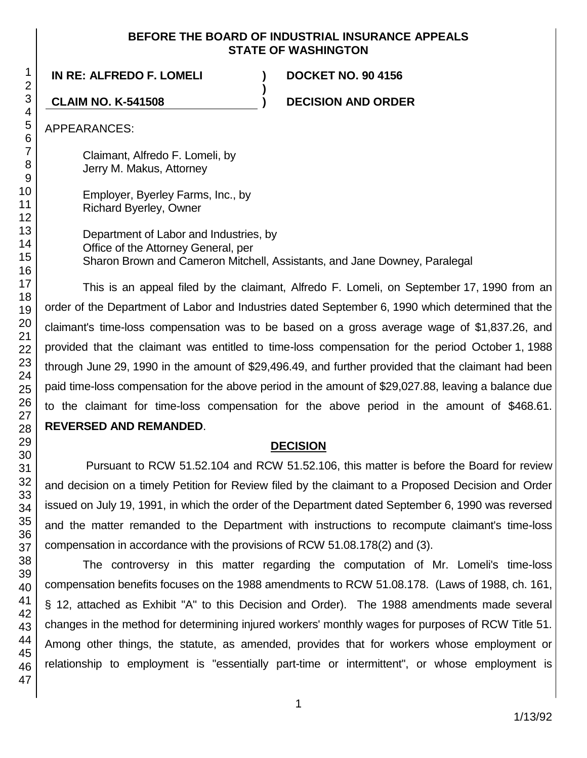## **BEFORE THE BOARD OF INDUSTRIAL INSURANCE APPEALS STATE OF WASHINGTON**

**)**

**IN RE: ALFREDO F. LOMELI ) DOCKET NO. 90 4156**

**CLAIM NO. K-541508 ) DECISION AND ORDER**

APPEARANCES:

Claimant, Alfredo F. Lomeli, by Jerry M. Makus, Attorney

Employer, Byerley Farms, Inc., by Richard Byerley, Owner

Department of Labor and Industries, by Office of the Attorney General, per Sharon Brown and Cameron Mitchell, Assistants, and Jane Downey, Paralegal

This is an appeal filed by the claimant, Alfredo F. Lomeli, on September 17, 1990 from an order of the Department of Labor and Industries dated September 6, 1990 which determined that the claimant's time-loss compensation was to be based on a gross average wage of \$1,837.26, and provided that the claimant was entitled to time-loss compensation for the period October 1, 1988 through June 29, 1990 in the amount of \$29,496.49, and further provided that the claimant had been paid time-loss compensation for the above period in the amount of \$29,027.88, leaving a balance due to the claimant for time-loss compensation for the above period in the amount of \$468.61. **REVERSED AND REMANDED**.

# **DECISION**

Pursuant to RCW 51.52.104 and RCW 51.52.106, this matter is before the Board for review and decision on a timely Petition for Review filed by the claimant to a Proposed Decision and Order issued on July 19, 1991, in which the order of the Department dated September 6, 1990 was reversed and the matter remanded to the Department with instructions to recompute claimant's time-loss compensation in accordance with the provisions of RCW 51.08.178(2) and (3).

The controversy in this matter regarding the computation of Mr. Lomeli's time-loss compensation benefits focuses on the 1988 amendments to RCW 51.08.178. (Laws of 1988, ch. 161, § 12, attached as Exhibit "A" to this Decision and Order). The 1988 amendments made several changes in the method for determining injured workers' monthly wages for purposes of RCW Title 51. Among other things, the statute, as amended, provides that for workers whose employment or relationship to employment is "essentially part-time or intermittent", or whose employment is

1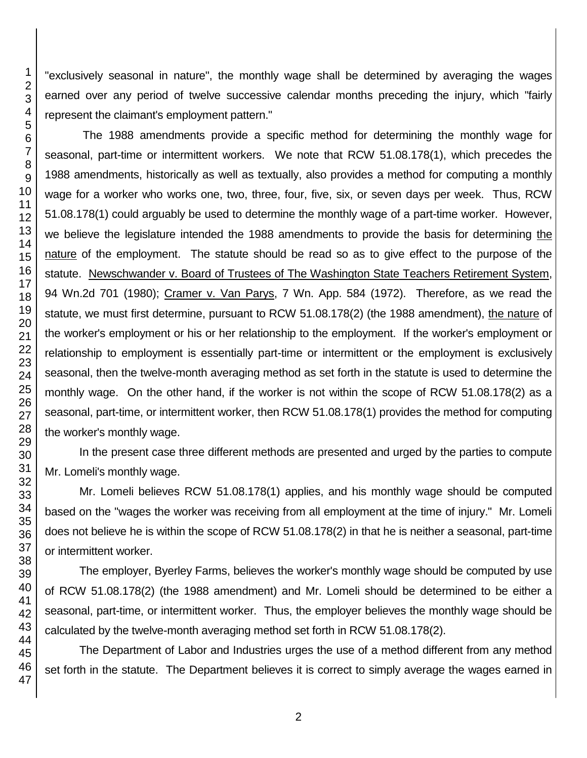"exclusively seasonal in nature", the monthly wage shall be determined by averaging the wages earned over any period of twelve successive calendar months preceding the injury, which "fairly represent the claimant's employment pattern."

The 1988 amendments provide a specific method for determining the monthly wage for seasonal, part-time or intermittent workers. We note that RCW 51.08.178(1), which precedes the 1988 amendments, historically as well as textually, also provides a method for computing a monthly wage for a worker who works one, two, three, four, five, six, or seven days per week. Thus, RCW 51.08.178(1) could arguably be used to determine the monthly wage of a part-time worker. However, we believe the legislature intended the 1988 amendments to provide the basis for determining the nature of the employment. The statute should be read so as to give effect to the purpose of the statute. Newschwander v. Board of Trustees of The Washington State Teachers Retirement System, 94 Wn.2d 701 (1980); Cramer v. Van Parys, 7 Wn. App. 584 (1972). Therefore, as we read the statute, we must first determine, pursuant to RCW 51.08.178(2) (the 1988 amendment), the nature of the worker's employment or his or her relationship to the employment. If the worker's employment or relationship to employment is essentially part-time or intermittent or the employment is exclusively seasonal, then the twelve-month averaging method as set forth in the statute is used to determine the monthly wage. On the other hand, if the worker is not within the scope of RCW 51.08.178(2) as a seasonal, part-time, or intermittent worker, then RCW 51.08.178(1) provides the method for computing the worker's monthly wage.

In the present case three different methods are presented and urged by the parties to compute Mr. Lomeli's monthly wage.

Mr. Lomeli believes RCW 51.08.178(1) applies, and his monthly wage should be computed based on the "wages the worker was receiving from all employment at the time of injury." Mr. Lomeli does not believe he is within the scope of RCW 51.08.178(2) in that he is neither a seasonal, part-time or intermittent worker.

The employer, Byerley Farms, believes the worker's monthly wage should be computed by use of RCW 51.08.178(2) (the 1988 amendment) and Mr. Lomeli should be determined to be either a seasonal, part-time, or intermittent worker. Thus, the employer believes the monthly wage should be calculated by the twelve-month averaging method set forth in RCW 51.08.178(2).

The Department of Labor and Industries urges the use of a method different from any method set forth in the statute. The Department believes it is correct to simply average the wages earned in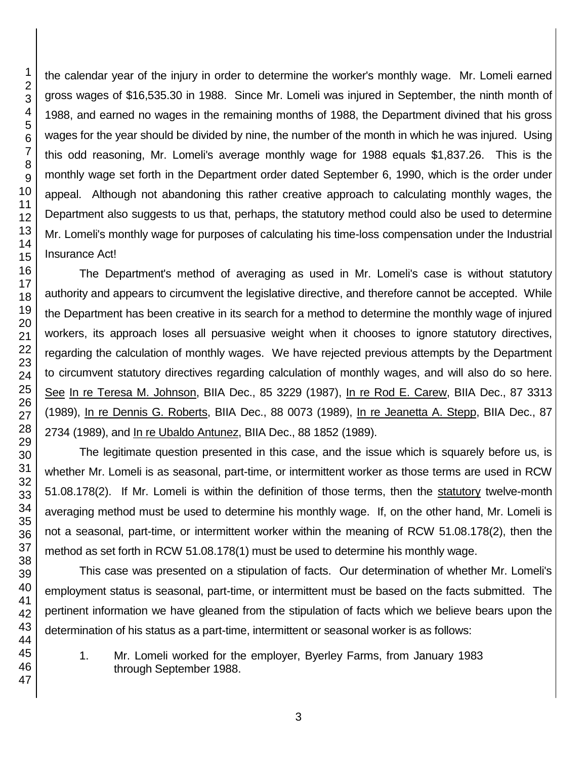the calendar year of the injury in order to determine the worker's monthly wage. Mr. Lomeli earned gross wages of \$16,535.30 in 1988. Since Mr. Lomeli was injured in September, the ninth month of 1988, and earned no wages in the remaining months of 1988, the Department divined that his gross wages for the year should be divided by nine, the number of the month in which he was injured. Using this odd reasoning, Mr. Lomeli's average monthly wage for 1988 equals \$1,837.26. This is the monthly wage set forth in the Department order dated September 6, 1990, which is the order under appeal. Although not abandoning this rather creative approach to calculating monthly wages, the Department also suggests to us that, perhaps, the statutory method could also be used to determine Mr. Lomeli's monthly wage for purposes of calculating his time-loss compensation under the Industrial Insurance Act!

The Department's method of averaging as used in Mr. Lomeli's case is without statutory authority and appears to circumvent the legislative directive, and therefore cannot be accepted. While the Department has been creative in its search for a method to determine the monthly wage of injured workers, its approach loses all persuasive weight when it chooses to ignore statutory directives, regarding the calculation of monthly wages. We have rejected previous attempts by the Department to circumvent statutory directives regarding calculation of monthly wages, and will also do so here. See In re Teresa M. Johnson, BIIA Dec., 85 3229 (1987), In re Rod E. Carew, BIIA Dec., 87 3313 (1989), In re Dennis G. Roberts, BIIA Dec., 88 0073 (1989), In re Jeanetta A. Stepp, BIIA Dec., 87 2734 (1989), and In re Ubaldo Antunez, BIIA Dec., 88 1852 (1989).

The legitimate question presented in this case, and the issue which is squarely before us, is whether Mr. Lomeli is as seasonal, part-time, or intermittent worker as those terms are used in RCW 51.08.178(2). If Mr. Lomeli is within the definition of those terms, then the statutory twelve-month averaging method must be used to determine his monthly wage. If, on the other hand, Mr. Lomeli is not a seasonal, part-time, or intermittent worker within the meaning of RCW 51.08.178(2), then the method as set forth in RCW 51.08.178(1) must be used to determine his monthly wage.

This case was presented on a stipulation of facts. Our determination of whether Mr. Lomeli's employment status is seasonal, part-time, or intermittent must be based on the facts submitted. The pertinent information we have gleaned from the stipulation of facts which we believe bears upon the determination of his status as a part-time, intermittent or seasonal worker is as follows:

1. Mr. Lomeli worked for the employer, Byerley Farms, from January 1983 through September 1988.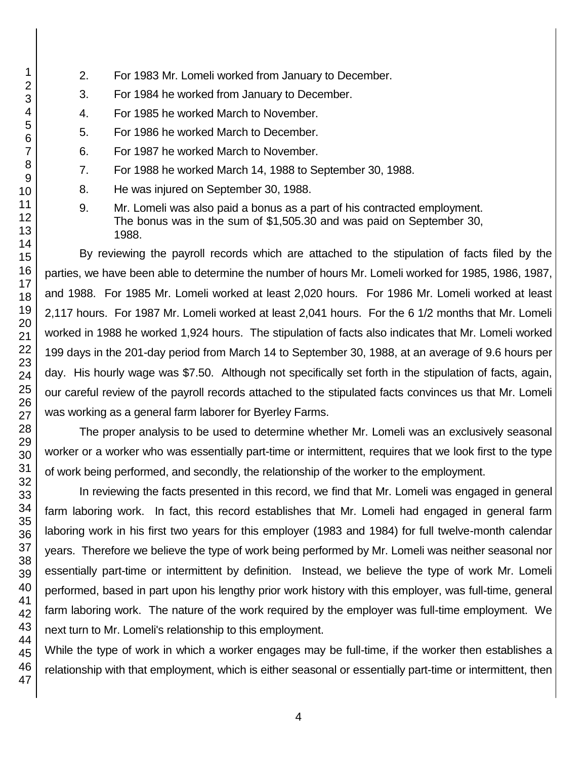- 1 2 3 4 5 6 7 8 9 10 11 12 13 14 15 16 17 18 19 20 21 22 23 24 25 26 27 28 29 30 31 32 33 34 35 36 37 38 39 40 41 42 43 44 45 46 47
- 2. For 1983 Mr. Lomeli worked from January to December.
- 3. For 1984 he worked from January to December.
- 4. For 1985 he worked March to November.
- 5. For 1986 he worked March to December.
- 6. For 1987 he worked March to November.
- 7. For 1988 he worked March 14, 1988 to September 30, 1988.
- 8. He was injured on September 30, 1988.
- 9. Mr. Lomeli was also paid a bonus as a part of his contracted employment. The bonus was in the sum of \$1,505.30 and was paid on September 30, 1988.

By reviewing the payroll records which are attached to the stipulation of facts filed by the parties, we have been able to determine the number of hours Mr. Lomeli worked for 1985, 1986, 1987, and 1988. For 1985 Mr. Lomeli worked at least 2,020 hours. For 1986 Mr. Lomeli worked at least 2,117 hours. For 1987 Mr. Lomeli worked at least 2,041 hours. For the 6 1/2 months that Mr. Lomeli worked in 1988 he worked 1,924 hours. The stipulation of facts also indicates that Mr. Lomeli worked 199 days in the 201-day period from March 14 to September 30, 1988, at an average of 9.6 hours per day. His hourly wage was \$7.50. Although not specifically set forth in the stipulation of facts, again, our careful review of the payroll records attached to the stipulated facts convinces us that Mr. Lomeli was working as a general farm laborer for Byerley Farms.

The proper analysis to be used to determine whether Mr. Lomeli was an exclusively seasonal worker or a worker who was essentially part-time or intermittent, requires that we look first to the type of work being performed, and secondly, the relationship of the worker to the employment.

In reviewing the facts presented in this record, we find that Mr. Lomeli was engaged in general farm laboring work. In fact, this record establishes that Mr. Lomeli had engaged in general farm laboring work in his first two years for this employer (1983 and 1984) for full twelve-month calendar years. Therefore we believe the type of work being performed by Mr. Lomeli was neither seasonal nor essentially part-time or intermittent by definition. Instead, we believe the type of work Mr. Lomeli performed, based in part upon his lengthy prior work history with this employer, was full-time, general farm laboring work. The nature of the work required by the employer was full-time employment. We next turn to Mr. Lomeli's relationship to this employment.

While the type of work in which a worker engages may be full-time, if the worker then establishes a relationship with that employment, which is either seasonal or essentially part-time or intermittent, then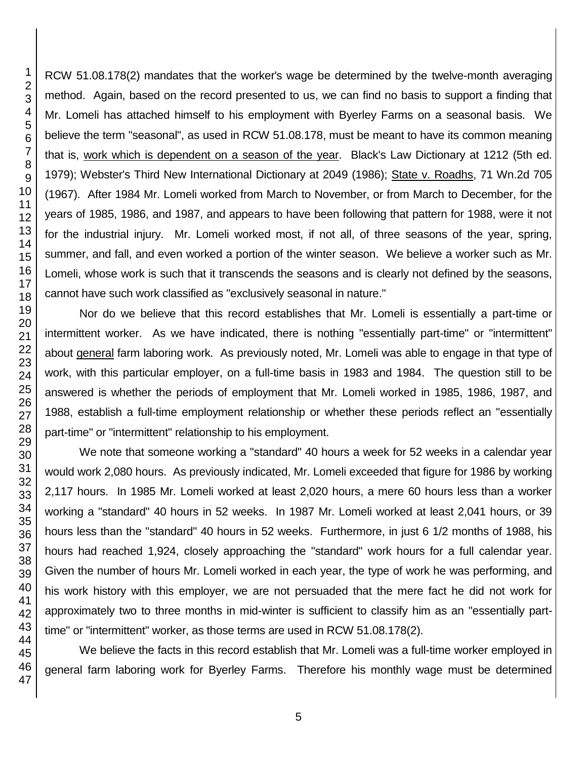RCW 51.08.178(2) mandates that the worker's wage be determined by the twelve-month averaging method. Again, based on the record presented to us, we can find no basis to support a finding that Mr. Lomeli has attached himself to his employment with Byerley Farms on a seasonal basis. We believe the term "seasonal", as used in RCW 51.08.178, must be meant to have its common meaning that is, work which is dependent on a season of the year. Black's Law Dictionary at 1212 (5th ed. 1979); Webster's Third New International Dictionary at 2049 (1986); State v. Roadhs, 71 Wn.2d 705 (1967). After 1984 Mr. Lomeli worked from March to November, or from March to December, for the years of 1985, 1986, and 1987, and appears to have been following that pattern for 1988, were it not for the industrial injury. Mr. Lomeli worked most, if not all, of three seasons of the year, spring, summer, and fall, and even worked a portion of the winter season. We believe a worker such as Mr. Lomeli, whose work is such that it transcends the seasons and is clearly not defined by the seasons, cannot have such work classified as "exclusively seasonal in nature."

Nor do we believe that this record establishes that Mr. Lomeli is essentially a part-time or intermittent worker. As we have indicated, there is nothing "essentially part-time" or "intermittent" about general farm laboring work. As previously noted, Mr. Lomeli was able to engage in that type of work, with this particular employer, on a full-time basis in 1983 and 1984. The question still to be answered is whether the periods of employment that Mr. Lomeli worked in 1985, 1986, 1987, and 1988, establish a full-time employment relationship or whether these periods reflect an "essentially part-time" or "intermittent" relationship to his employment.

We note that someone working a "standard" 40 hours a week for 52 weeks in a calendar year would work 2,080 hours. As previously indicated, Mr. Lomeli exceeded that figure for 1986 by working 2,117 hours. In 1985 Mr. Lomeli worked at least 2,020 hours, a mere 60 hours less than a worker working a "standard" 40 hours in 52 weeks. In 1987 Mr. Lomeli worked at least 2,041 hours, or 39 hours less than the "standard" 40 hours in 52 weeks. Furthermore, in just 6 1/2 months of 1988, his hours had reached 1,924, closely approaching the "standard" work hours for a full calendar year. Given the number of hours Mr. Lomeli worked in each year, the type of work he was performing, and his work history with this employer, we are not persuaded that the mere fact he did not work for approximately two to three months in mid-winter is sufficient to classify him as an "essentially parttime" or "intermittent" worker, as those terms are used in RCW 51.08.178(2).

We believe the facts in this record establish that Mr. Lomeli was a full-time worker employed in general farm laboring work for Byerley Farms. Therefore his monthly wage must be determined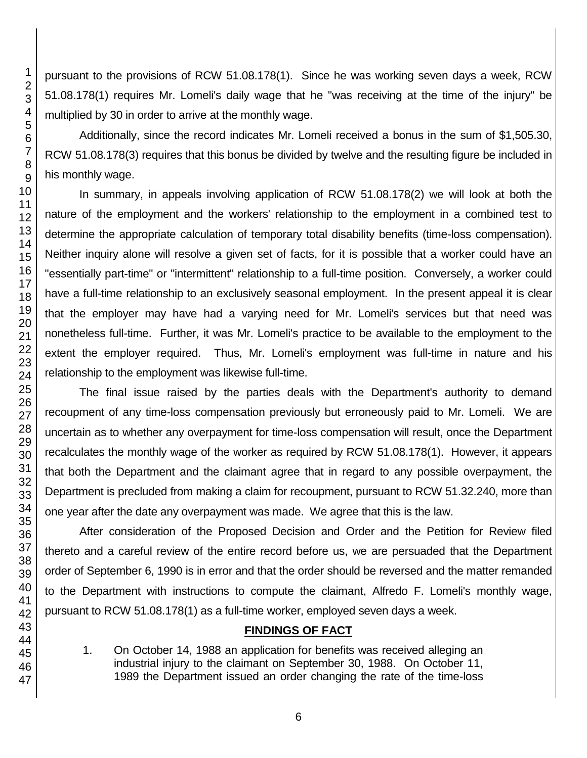pursuant to the provisions of RCW 51.08.178(1). Since he was working seven days a week, RCW 51.08.178(1) requires Mr. Lomeli's daily wage that he "was receiving at the time of the injury" be multiplied by 30 in order to arrive at the monthly wage.

Additionally, since the record indicates Mr. Lomeli received a bonus in the sum of \$1,505.30, RCW 51.08.178(3) requires that this bonus be divided by twelve and the resulting figure be included in his monthly wage.

In summary, in appeals involving application of RCW 51.08.178(2) we will look at both the nature of the employment and the workers' relationship to the employment in a combined test to determine the appropriate calculation of temporary total disability benefits (time-loss compensation). Neither inquiry alone will resolve a given set of facts, for it is possible that a worker could have an "essentially part-time" or "intermittent" relationship to a full-time position. Conversely, a worker could have a full-time relationship to an exclusively seasonal employment. In the present appeal it is clear that the employer may have had a varying need for Mr. Lomeli's services but that need was nonetheless full-time. Further, it was Mr. Lomeli's practice to be available to the employment to the extent the employer required. Thus, Mr. Lomeli's employment was full-time in nature and his relationship to the employment was likewise full-time.

The final issue raised by the parties deals with the Department's authority to demand recoupment of any time-loss compensation previously but erroneously paid to Mr. Lomeli. We are uncertain as to whether any overpayment for time-loss compensation will result, once the Department recalculates the monthly wage of the worker as required by RCW 51.08.178(1). However, it appears that both the Department and the claimant agree that in regard to any possible overpayment, the Department is precluded from making a claim for recoupment, pursuant to RCW 51.32.240, more than one year after the date any overpayment was made. We agree that this is the law.

After consideration of the Proposed Decision and Order and the Petition for Review filed thereto and a careful review of the entire record before us, we are persuaded that the Department order of September 6, 1990 is in error and that the order should be reversed and the matter remanded to the Department with instructions to compute the claimant, Alfredo F. Lomeli's monthly wage, pursuant to RCW 51.08.178(1) as a full-time worker, employed seven days a week.

## **FINDINGS OF FACT**

1. On October 14, 1988 an application for benefits was received alleging an industrial injury to the claimant on September 30, 1988. On October 11, 1989 the Department issued an order changing the rate of the time-loss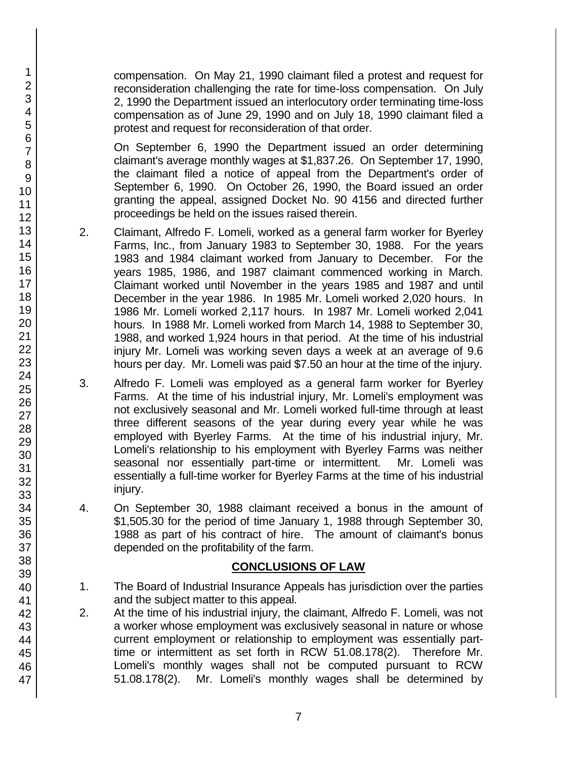compensation. On May 21, 1990 claimant filed a protest and request for reconsideration challenging the rate for time-loss compensation. On July 2, 1990 the Department issued an interlocutory order terminating time-loss compensation as of June 29, 1990 and on July 18, 1990 claimant filed a protest and request for reconsideration of that order.

On September 6, 1990 the Department issued an order determining claimant's average monthly wages at \$1,837.26. On September 17, 1990, the claimant filed a notice of appeal from the Department's order of September 6, 1990. On October 26, 1990, the Board issued an order granting the appeal, assigned Docket No. 90 4156 and directed further proceedings be held on the issues raised therein.

- 2. Claimant, Alfredo F. Lomeli, worked as a general farm worker for Byerley Farms, Inc., from January 1983 to September 30, 1988. For the years 1983 and 1984 claimant worked from January to December. For the years 1985, 1986, and 1987 claimant commenced working in March. Claimant worked until November in the years 1985 and 1987 and until December in the year 1986. In 1985 Mr. Lomeli worked 2,020 hours. In 1986 Mr. Lomeli worked 2,117 hours. In 1987 Mr. Lomeli worked 2,041 hours. In 1988 Mr. Lomeli worked from March 14, 1988 to September 30, 1988, and worked 1,924 hours in that period. At the time of his industrial injury Mr. Lomeli was working seven days a week at an average of 9.6 hours per day. Mr. Lomeli was paid \$7.50 an hour at the time of the injury.
- 3. Alfredo F. Lomeli was employed as a general farm worker for Byerley Farms. At the time of his industrial injury, Mr. Lomeli's employment was not exclusively seasonal and Mr. Lomeli worked full-time through at least three different seasons of the year during every year while he was employed with Byerley Farms. At the time of his industrial injury, Mr. Lomeli's relationship to his employment with Byerley Farms was neither seasonal nor essentially part-time or intermittent. Mr. Lomeli was essentially a full-time worker for Byerley Farms at the time of his industrial injury.
- 4. On September 30, 1988 claimant received a bonus in the amount of \$1,505.30 for the period of time January 1, 1988 through September 30, 1988 as part of his contract of hire. The amount of claimant's bonus depended on the profitability of the farm.

# **CONCLUSIONS OF LAW**

- 1. The Board of Industrial Insurance Appeals has jurisdiction over the parties and the subject matter to this appeal.
- 2. At the time of his industrial injury, the claimant, Alfredo F. Lomeli, was not a worker whose employment was exclusively seasonal in nature or whose current employment or relationship to employment was essentially parttime or intermittent as set forth in RCW 51.08.178(2). Therefore Mr. Lomeli's monthly wages shall not be computed pursuant to RCW 51.08.178(2). Mr. Lomeli's monthly wages shall be determined by

1